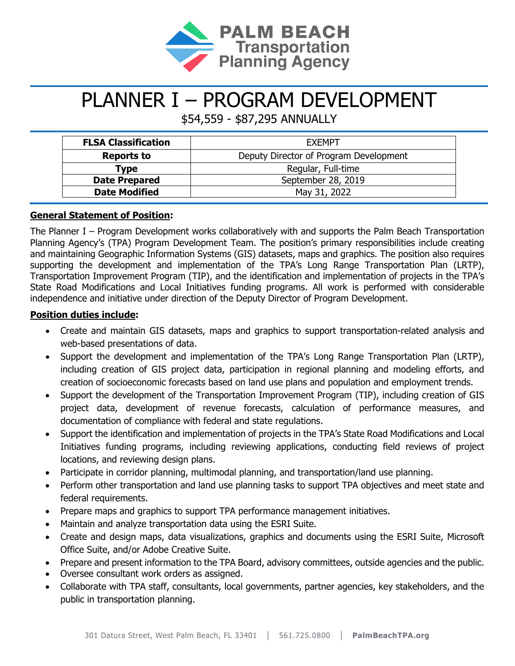

# PLANNER I – PROGRAM DEVELOPMENT

\$54,559 - \$87,295 ANNUALLY

| <b>FLSA Classification</b> | <b>FXFMPT</b>                          |
|----------------------------|----------------------------------------|
| <b>Reports to</b>          | Deputy Director of Program Development |
| Type                       | Regular, Full-time                     |
| <b>Date Prepared</b>       | September 28, 2019                     |
| <b>Date Modified</b>       | May 31, 2022                           |

# **General Statement of Position:**

The Planner I – Program Development works collaboratively with and supports the Palm Beach Transportation Planning Agency's (TPA) Program Development Team. The position's primary responsibilities include creating and maintaining Geographic Information Systems (GIS) datasets, maps and graphics. The position also requires supporting the development and implementation of the TPA's Long Range Transportation Plan (LRTP), Transportation Improvement Program (TIP), and the identification and implementation of projects in the TPA's State Road Modifications and Local Initiatives funding programs. All work is performed with considerable independence and initiative under direction of the Deputy Director of Program Development.

# **Position duties include:**

- Create and maintain GIS datasets, maps and graphics to support transportation-related analysis and web-based presentations of data.
- Support the development and implementation of the TPA's Long Range Transportation Plan (LRTP), including creation of GIS project data, participation in regional planning and modeling efforts, and creation of socioeconomic forecasts based on land use plans and population and employment trends.
- Support the development of the Transportation Improvement Program (TIP), including creation of GIS project data, development of revenue forecasts, calculation of performance measures, and documentation of compliance with federal and state regulations.
- Support the identification and implementation of projects in the TPA's State Road Modifications and Local Initiatives funding programs, including reviewing applications, conducting field reviews of project locations, and reviewing design plans.
- Participate in corridor planning, multimodal planning, and transportation/land use planning.
- Perform other transportation and land use planning tasks to support TPA objectives and meet state and federal requirements.
- Prepare maps and graphics to support TPA performance management initiatives.
- Maintain and analyze transportation data using the ESRI Suite.
- Create and design maps, data visualizations, graphics and documents using the ESRI Suite, Microsoft Office Suite, and/or Adobe Creative Suite.
- Prepare and present information to the TPA Board, advisory committees, outside agencies and the public.
- Oversee consultant work orders as assigned.
- Collaborate with TPA staff, consultants, local governments, partner agencies, key stakeholders, and the public in transportation planning.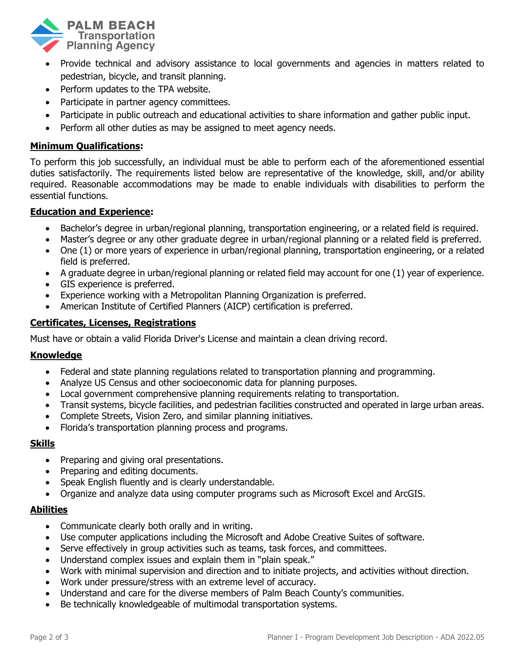

- Provide technical and advisory assistance to local governments and agencies in matters related to pedestrian, bicycle, and transit planning.
- Perform updates to the TPA website.
- Participate in partner agency committees.
- Participate in public outreach and educational activities to share information and gather public input.
- Perform all other duties as may be assigned to meet agency needs.

## **Minimum Qualifications:**

To perform this job successfully, an individual must be able to perform each of the aforementioned essential duties satisfactorily. The requirements listed below are representative of the knowledge, skill, and/or ability required. Reasonable accommodations may be made to enable individuals with disabilities to perform the essential functions.

## **Education and Experience:**

- Bachelor's degree in urban/regional planning, transportation engineering, or a related field is required.
- Master's degree or any other graduate degree in urban/regional planning or a related field is preferred.
- One (1) or more years of experience in urban/regional planning, transportation engineering, or a related field is preferred.
- A graduate degree in urban/regional planning or related field may account for one (1) year of experience.
- GIS experience is preferred.
- Experience working with a Metropolitan Planning Organization is preferred.
- American Institute of Certified Planners (AICP) certification is preferred.

## **Certificates, Licenses, Registrations**

Must have or obtain a valid Florida Driver's License and maintain a clean driving record.

#### **Knowledge**

- Federal and state planning regulations related to transportation planning and programming.
- Analyze US Census and other socioeconomic data for planning purposes.
- Local government comprehensive planning requirements relating to transportation.
- Transit systems, bicycle facilities, and pedestrian facilities constructed and operated in large urban areas.
- Complete Streets, Vision Zero, and similar planning initiatives.
- Florida's transportation planning process and programs.

## **Skills**

- Preparing and giving oral presentations.
- Preparing and editing documents.
- Speak English fluently and is clearly understandable.
- Organize and analyze data using computer programs such as Microsoft Excel and ArcGIS.

#### **Abilities**

- Communicate clearly both orally and in writing.
- Use computer applications including the Microsoft and Adobe Creative Suites of software.
- Serve effectively in group activities such as teams, task forces, and committees.
- Understand complex issues and explain them in "plain speak."
- Work with minimal supervision and direction and to initiate projects, and activities without direction.
- Work under pressure/stress with an extreme level of accuracy.
- Understand and care for the diverse members of Palm Beach County's communities.
- Be technically knowledgeable of multimodal transportation systems.